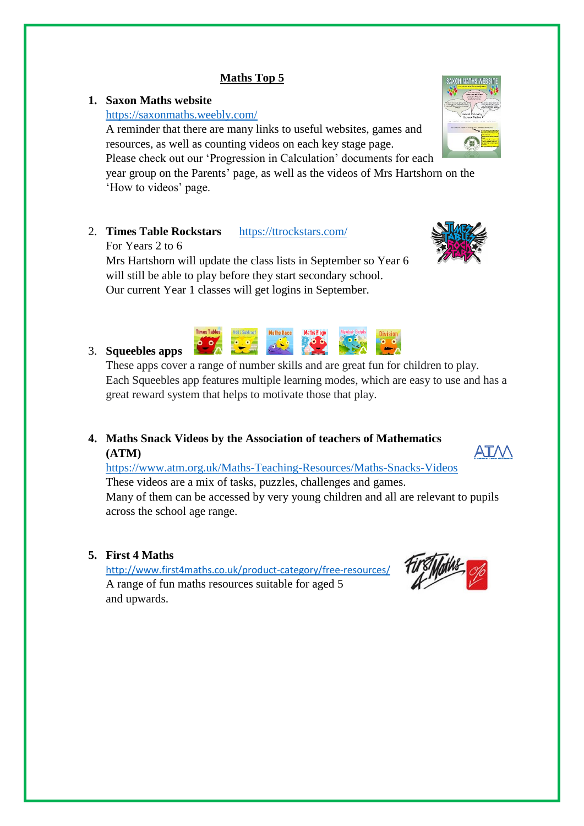# **Maths Top 5**

### **1. Saxon Maths website**

### <https://saxonmaths.weebly.com/>

A reminder that there are many links to useful websites, games and resources, as well as counting videos on each key stage page.

Please check out our 'Progression in Calculation' documents for each

year group on the Parents' page, as well as the videos of Mrs Hartshorn on the 'How to videos' page.

2. **Times Table Rockstars** <https://ttrockstars.com/>

For Years 2 to 6

Mrs Hartshorn will update the class lists in September so Year 6 will still be able to play before they start secondary school. Our current Year 1 classes will get logins in September.

### 3. **Squeebles apps**

These apps cover a range of number skills and are great fun for children to play. Each Squeebles app features multiple learning modes, which are easy to use and has a great reward system that helps to motivate those that play.

**4. Maths Snack Videos by the Association of teachers of Mathematics (ATM)**

<https://www.atm.org.uk/Maths-Teaching-Resources/Maths-Snacks-Videos> These videos are a mix of tasks, puzzles, challenges and games. Many of them can be accessed by very young children and all are relevant to pupils across the school age range.

**5. First 4 Maths**

<http://www.first4maths.co.uk/product-category/free-resources/> A range of fun maths resources suitable for aged 5 and upwards.







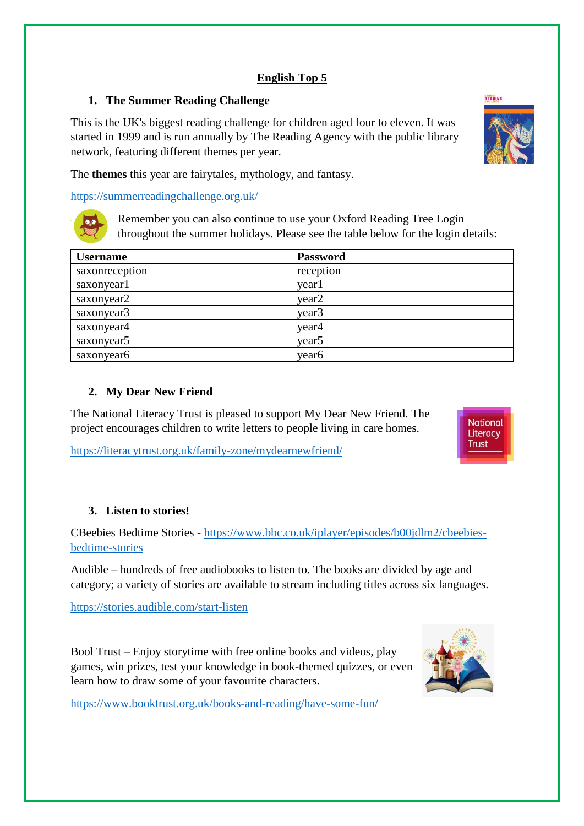# **English Top 5**

# **1. The Summer Reading Challenge**

This is the UK's biggest reading challenge for children aged four to eleven. It was started in 1999 and is run annually by The Reading Agency with the public library network, featuring different themes per year.



The **themes** this year are fairytales, mythology, and fantasy.

<https://summerreadingchallenge.org.uk/>



Remember you can also continue to use your Oxford Reading Tree Login throughout the summer holidays. Please see the table below for the login details:

| <b>Username</b> | <b>Password</b>   |
|-----------------|-------------------|
| saxonreception  | reception         |
| saxonyear1      | year1             |
| saxonyear2      | year <sub>2</sub> |
| saxonyear3      | year <sub>3</sub> |
| saxonyear4      | year4             |
| saxonyear5      | year <sub>5</sub> |
| saxonyear6      | year <sub>6</sub> |

# **2. My Dear New Friend**

The National Literacy Trust is pleased to support My Dear New Friend. The project encourages children to write letters to people living in care homes.

<https://literacytrust.org.uk/family-zone/mydearnewfriend/>



# **3. Listen to stories!**

CBeebies Bedtime Stories - [https://www.bbc.co.uk/iplayer/episodes/b00jdlm2/cbeebies](https://www.bbc.co.uk/iplayer/episodes/b00jdlm2/cbeebies-bedtime-stories)[bedtime-stories](https://www.bbc.co.uk/iplayer/episodes/b00jdlm2/cbeebies-bedtime-stories)

Audible – hundreds of free audiobooks to listen to. The books are divided by age and category; a variety of stories are available to stream including titles across six languages.

<https://stories.audible.com/start-listen>

Bool Trust – Enjoy storytime with free online books and videos, play games, win prizes, test your knowledge in book-themed quizzes, or even learn how to draw some of your favourite characters.



<https://www.booktrust.org.uk/books-and-reading/have-some-fun/>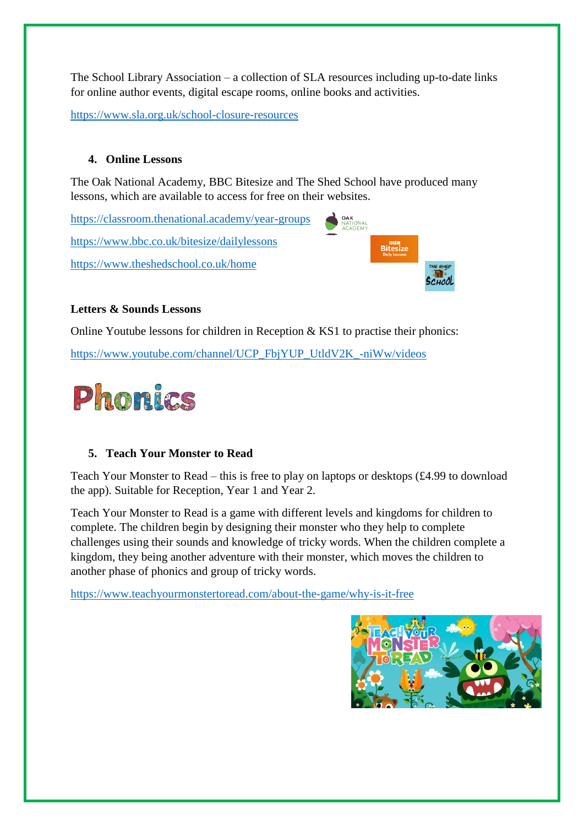The School Library Association – a collection of SLA resources including up-to-date links for online author events, digital escape rooms, online books and activities.

<https://www.sla.org.uk/school-closure-resources>

#### **4. Online Lessons**

The Oak National Academy, BBC Bitesize and The Shed School have produced many lessons, which are available to access for free on their websites.

<https://classroom.thenational.academy/year-groups> **OAK**<br>NATIONAL<br>ACADEMY <https://www.bbc.co.uk/bitesize/dailylessons> **Bitesize** <https://www.theshedschool.co.uk/home>

#### **Letters & Sounds Lessons**

Online Youtube lessons for children in Reception & KS1 to practise their phonics:

[https://www.youtube.com/channel/UCP\\_FbjYUP\\_UtldV2K\\_-niWw/videos](https://www.youtube.com/channel/UCP_FbjYUP_UtldV2K_-niWw/videos)



### **5. Teach Your Monster to Read**

Teach Your Monster to Read – this is free to play on laptops or desktops (£4.99 to download the app). Suitable for Reception, Year 1 and Year 2.

Teach Your Monster to Read is a game with different levels and kingdoms for children to complete. The children begin by designing their monster who they help to complete challenges using their sounds and knowledge of tricky words. When the children complete a kingdom, they being another adventure with their monster, which moves the children to another phase of phonics and group of tricky words.

<https://www.teachyourmonstertoread.com/about-the-game/why-is-it-free>